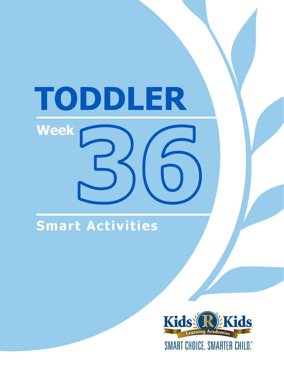# TODDLER **Week**

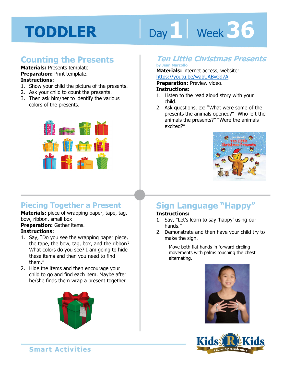# Day 1 Week 36

## **Counting the Presents**

#### **Materials:** Presents template **Preparation:** Print template.

- **Instructions:**
- 1. Show your child the picture of the presents.
- 2. Ask your child to count the presents.
- 3. Then ask him/her to identify the various colors of the presents.



## **Piecing Together a Present**

#### **Materials:** piece of wrapping paper, tape, tag, bow, ribbon, small box

**Preparation:** Gather items.

#### **Instructions:**

- 1. Say, "Do you see the wrapping paper piece, the tape, the bow, tag, box, and the ribbon? What colors do you see? I am going to hide these items and then you need to find them."
- 2. Hide the items and then encourage your child to go and find each item. Maybe after he/she finds them wrap a present together.



### **Ten Little Christmas Presents**

#### **by Jean Marzollo**

**Materials:** internet access, website:

https://youtu.be/wabUABvGd7A<br>**Preparation:** Preview video.<br>**Instructions:**<br>1 Listen to the read aloud story with yo **Preparation:** Preview video.

#### **Instructions:**

- 1. Listen to the read aloud story with your child.
- 2. Ask questions, ex: "What were some of the presents the animals opened?" "Who left the animals the presents?" "Were the animals excited?"



## **Sign Language "Happy"**

#### **Instructions:**

- 1. Say, "Let's learn to say 'happy' using our hands."
- 2. Demonstrate and then have your child try to make the sign.

Move both flat hands in forward circling movements with palms touching the chest alternating.



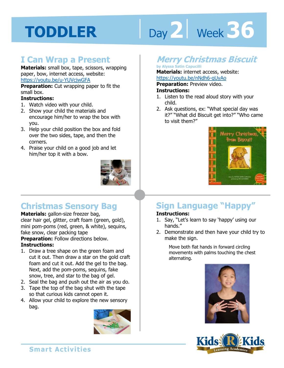# Day 2 **Week 36**

## **I Can Wrap a Present**

**Materials:** small box, tape, scissors, wrapping paper, bow, internet access, website: https://youtu.be/u-YUVcjwGFA

**Preparation:** Cut wrapping paper to fit the small box.

#### **Instructions:**

- 1. Watch video with your child.
- 2. Show your child the materials and encourage him/her to wrap the box with you.
- 3. Help your child position the box and fold over the two sides, tape, and then the corners.
- 4. Praise your child on a good job and let him/her top it with a bow.



## **Christmas Sensory Bag**

#### **Materials:** gallon-size freezer bag,

clear hair gel, glitter, craft foam (green, gold), mini pom-poms (red, green, & white), sequins, fake snow, clear packing tape

**Preparation:** Follow directions below. **Instructions:** 

- 1. Draw a tree shape on the green foam and cut it out. Then draw a star on the gold craft foam and cut it out. Add the gel to the bag. Next, add the pom-poms, sequins, fake snow, tree, and star to the bag of gel.
- 2. Seal the bag and push out the air as you do.
- 3. Tape the top of the bag shut with the tape so that curious kids cannot open it.
- 4. Allow your child to explore the new sensory bag.



## **Merry Christmas Biscuit**

#### **by Alyssa Satin Capucilli**

**Materials:** internet access, website: https://youtu.be/nNdh6-qUyAo

**Preparation:** Preview video. **Instructions:** 

- 1. Listen to the read aloud story with your child.
- 2. Ask questions, ex: "What special day was it?" "What did Biscuit get into?" "Who came to visit them?"



## **Sign Language "Happy"**

#### **Instructions:**

- 1. Say, "Let's learn to say 'happy' using our hands."
- 2. Demonstrate and then have your child try to make the sign.

Move both flat hands in forward circling movements with palms touching the chest alternating.



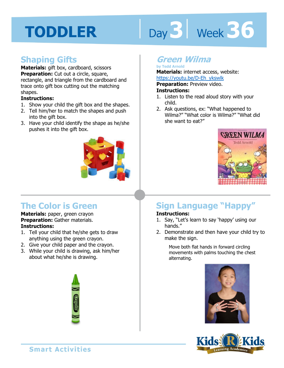# Day 3 | Week 36

## **Shaping Gifts**

**Materials:** gift box, cardboard, scissors **Preparation:** Cut out a circle, square, rectangle, and triangle from the cardboard and trace onto gift box cutting out the matching shapes.

#### **Instructions:**

- 1. Show your child the gift box and the shapes.
- 2. Tell him/her to match the shapes and push into the gift box.
- 3. Have your child identify the shape as he/she pushes it into the gift box.



## **The Color is Green**

**Materials:** paper, green crayon **Preparation:** Gather materials. **Instructions:** 

- 1. Tell your child that he/she gets to draw anything using the green crayon.
- 2. Give your child paper and the crayon.
- 3. While your child is drawing, ask him/her about what he/she is drawing.



### **Green Wilma**

#### **by Tedd Arnold**

**Materials:** internet access, website: https://youtu.be/D-Eh\_ykswlk

**1 4 Preparation:** Preview video. **Instructions:** 

- 1. Listen to the read aloud story with your child.
- 2. Ask questions, ex: "What happened to Wilma?" "What color is Wilma?" "What did she want to eat?"



## **Sign Language "Happy"**

#### **Instructions:**

- 1. Say, "Let's learn to say 'happy' using our hands."
- 2. Demonstrate and then have your child try to make the sign.

Move both flat hands in forward circling movements with palms touching the chest alternating.



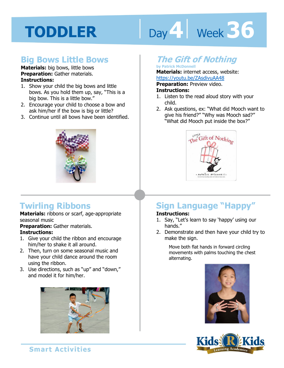# Day 4 Week 36

### **Big Bows Little Bows**

#### **Materials:** big bows, little bows **Preparation:** Gather materials. **Instructions:**

- 1. Show your child the big bows and little bows. As you hold them up, say, "This is a big bow. This is a little bow."
- 2. Encourage your child to choose a bow and ask him/her if the bow is big or little?
- 3. Continue until all bows have been identified.



## **Twirling Ribbons**

**Materials:** ribbons or scarf, age-appropriate seasonal music

**Preparation:** Gather materials.

#### **Instructions:**

- 1. Give your child the ribbon and encourage him/her to shake it all around.
- 2. Then, turn on some seasonal music and have your child dance around the room using the ribbon.
- 3. Use directions, such as "up" and "down," and model it for him/her.



## **The Gift of Nothing**

#### **by Patrick McDonnell**

**Materials:** internet access, website: https://youtu.be/ZAsdivuAA48

**Preparation:** Preview video.

#### **Instructions:**

- 1. Listen to the read aloud story with your child.
- 2. Ask questions, ex: "What did Mooch want to give his friend?" "Why was Mooch sad?" "What did Mooch put inside the box?"



## **Sign Language "Happy"**

#### **Instructions:**

- 1. Say, "Let's learn to say 'happy' using our hands."
- 2. Demonstrate and then have your child try to make the sign.

Move both flat hands in forward circling movements with palms touching the chest alternating.



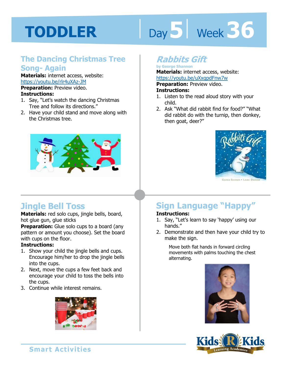# Day 5 **Week 36**

### **The Dancing Christmas Tree Song- Again**

**Materials:** internet access, website: https://youtu.be/rlr4uXAz-JM **Preparation:** Preview video.

#### **Instructions:**

- 1. Say, "Let's watch the dancing Christmas Tree and follow its directions."
- 2. Have your child stand and move along with the Christmas tree.



## **Jingle Bell Toss**

**Materials:** red solo cups, jingle bells, board, hot glue gun, glue sticks

**Preparation:** Glue solo cups to a board (any pattern or amount you choose). Set the board with cups on the floor.

#### **Instructions:**

- 1. Show your child the jingle bells and cups. Encourage him/her to drop the jingle bells into the cups.
- 2. Next, move the cups a few feet back and encourage your child to toss the bells into the cups.
- 3. Continue while interest remains.



## **Rabbits Gift**

**by George Shannon Materials:** internet access, website: https://youtu.be/uXxgpdFnw7w

youtu.be/uXxgpdFnw7w<br>**ation:** Preview video.<br>**ctions:**<br>an to the read aloud stars with w **Preparation:** Preview video.

#### **Instructions:**

- 1. Listen to the read aloud story with your child.
- 2. Ask "What did rabbit find for food?" "What did rabbit do with the turnip, then donkey, then goat, deer?"



## **Sign Language "Happy"**

#### **Instructions:**

- 1. Say, "Let's learn to say 'happy' using our hands."
- 2. Demonstrate and then have your child try to make the sign.

Move both flat hands in forward circling movements with palms touching the chest alternating.